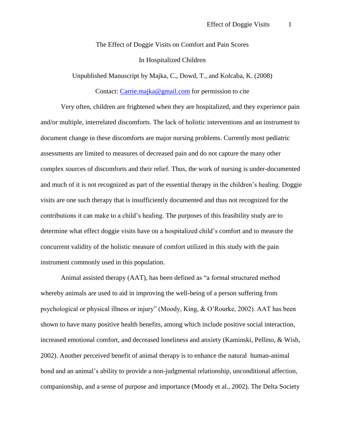The Effect of Doggie Visits on Comfort and Pain Scores

In Hospitalized Children

Unpublished Manuscript by Majka, C., Dowd, T., and Kolcaba, K. (2008)

Contact: [Carrie.majka@gmail.com](mailto:Carrie.majka@gmail.com) for permission to cite

Very often, children are frightened when they are hospitalized, and they experience pain and/or multiple, interrelated discomforts. The lack of holistic interventions and an instrument to document change in these discomforts are major nursing problems. Currently most pediatric assessments are limited to measures of decreased pain and do not capture the many other complex sources of discomforts and their relief. Thus, the work of nursing is under-documented and much of it is not recognized as part of the essential therapy in the children's healing. Doggie visits are one such therapy that is insufficiently documented and thus not recognized for the contributions it can make to a child's healing. The purposes of this feasibility study are to determine what effect doggie visits have on a hospitalized child's comfort and to measure the concurrent validity of the holistic measure of comfort utilized in this study with the pain instrument commonly used in this population.

Animal assisted therapy (AAT), has been defined as "a formal structured method whereby animals are used to aid in improving the well-being of a person suffering from psychological or physical illness or injury" (Moody, King, & O'Rourke, 2002). AAT has been shown to have many positive health benefits, among which include positive social interaction, increased emotional comfort, and decreased loneliness and anxiety (Kaminski, Pellino, & Wish, 2002). Another perceived benefit of animal therapy is to enhance the natural human-animal bond and an animal's ability to provide a non-judgmental relationship, unconditional affection, companionship, and a sense of purpose and importance (Moody et al., 2002). The Delta Society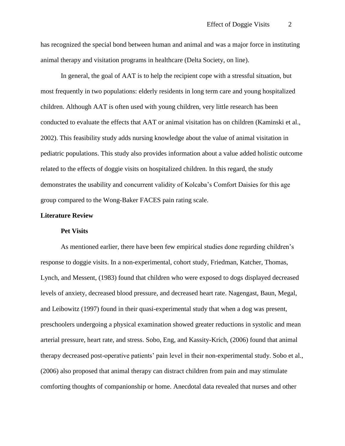has recognized the special bond between human and animal and was a major force in instituting animal therapy and visitation programs in healthcare (Delta Society, on line).

In general, the goal of AAT is to help the recipient cope with a stressful situation, but most frequently in two populations: elderly residents in long term care and young hospitalized children. Although AAT is often used with young children, very little research has been conducted to evaluate the effects that AAT or animal visitation has on children (Kaminski et al., 2002). This feasibility study adds nursing knowledge about the value of animal visitation in pediatric populations. This study also provides information about a value added holistic outcome related to the effects of doggie visits on hospitalized children. In this regard, the study demonstrates the usability and concurrent validity of Kolcaba's Comfort Daisies for this age group compared to the Wong-Baker FACES pain rating scale.

## **Literature Review**

#### **Pet Visits**

As mentioned earlier, there have been few empirical studies done regarding children's response to doggie visits. In a non-experimental, cohort study, Friedman, Katcher, Thomas, Lynch, and Messent, (1983) found that children who were exposed to dogs displayed decreased levels of anxiety, decreased blood pressure, and decreased heart rate. Nagengast, Baun, Megal, and Leibowitz (1997) found in their quasi-experimental study that when a dog was present, preschoolers undergoing a physical examination showed greater reductions in systolic and mean arterial pressure, heart rate, and stress. Sobo, Eng, and Kassity-Krich, (2006) found that animal therapy decreased post-operative patients' pain level in their non-experimental study. Sobo et al., (2006) also proposed that animal therapy can distract children from pain and may stimulate comforting thoughts of companionship or home. Anecdotal data revealed that nurses and other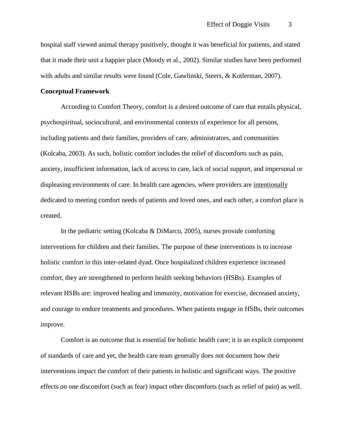hospital staff viewed animal therapy positively, thought it was beneficial for patients, and stated that it made their unit a happier place (Moody et al., 2002). Similar studies have been performed with adults and similar results were found (Cole, Gawlinski, Steers, & Kotlerman, 2007).

# **Conceptual Framework**

According to Comfort Theory, comfort is a desired outcome of care that entails physical, psychospiritual, sociocultural, and environmental contexts of experience for all persons, including patients and their families, providers of care, administrators, and communities (Kolcaba, 2003). As such, holistic comfort includes the relief of discomforts such as pain, anxiety, insufficient information, lack of access to care, lack of social support, and impersonal or displeasing environments of care. In health care agencies, where providers are intentionally dedicated to meeting comfort needs of patients and loved ones, and each other, a comfort place is created.

In the pediatric setting (Kolcaba & DiMarco, 2005), nurses provide comforting interventions for children and their families. The purpose of these interventions is to increase holistic comfort in this inter-related dyad. Once hospitalized children experience increased comfort, they are strengthened to perform health seeking behaviors (HSBs). Examples of relevant HSBs are: improved healing and immunity, motivation for exercise, decreased anxiety, and courage to endure treatments and procedures. When patients engage in HSBs, their outcomes improve.

Comfort is an outcome that is essential for holistic health care; it is an explicit component of standards of care and yet, the health care team generally does not document how their interventions impact the comfort of their patients in holistic and significant ways. The positive effects on one discomfort (such as fear) impact other discomforts (such as relief of pain) as well.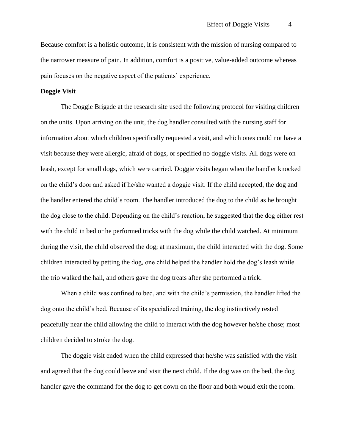Because comfort is a holistic outcome, it is consistent with the mission of nursing compared to the narrower measure of pain. In addition, comfort is a positive, value-added outcome whereas pain focuses on the negative aspect of the patients' experience.

# **Doggie Visit**

The Doggie Brigade at the research site used the following protocol for visiting children on the units. Upon arriving on the unit, the dog handler consulted with the nursing staff for information about which children specifically requested a visit, and which ones could not have a visit because they were allergic, afraid of dogs, or specified no doggie visits. All dogs were on leash, except for small dogs, which were carried. Doggie visits began when the handler knocked on the child's door and asked if he/she wanted a doggie visit. If the child accepted, the dog and the handler entered the child's room. The handler introduced the dog to the child as he brought the dog close to the child. Depending on the child's reaction, he suggested that the dog either rest with the child in bed or he performed tricks with the dog while the child watched. At minimum during the visit, the child observed the dog; at maximum, the child interacted with the dog. Some children interacted by petting the dog, one child helped the handler hold the dog's leash while the trio walked the hall, and others gave the dog treats after she performed a trick.

When a child was confined to bed, and with the child's permission, the handler lifted the dog onto the child's bed. Because of its specialized training, the dog instinctively rested peacefully near the child allowing the child to interact with the dog however he/she chose; most children decided to stroke the dog.

The doggie visit ended when the child expressed that he/she was satisfied with the visit and agreed that the dog could leave and visit the next child. If the dog was on the bed, the dog handler gave the command for the dog to get down on the floor and both would exit the room.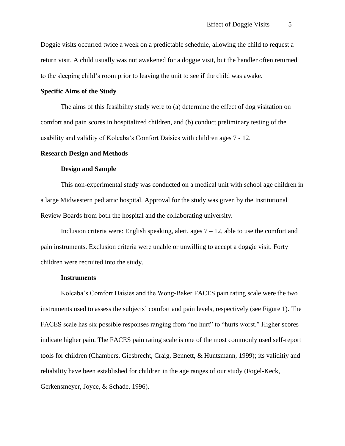Doggie visits occurred twice a week on a predictable schedule, allowing the child to request a return visit. A child usually was not awakened for a doggie visit, but the handler often returned to the sleeping child's room prior to leaving the unit to see if the child was awake.

# **Specific Aims of the Study**

The aims of this feasibility study were to (a) determine the effect of dog visitation on comfort and pain scores in hospitalized children, and (b) conduct preliminary testing of the usability and validity of Kolcaba's Comfort Daisies with children ages 7 - 12.

## **Research Design and Methods**

#### **Design and Sample**

This non-experimental study was conducted on a medical unit with school age children in a large Midwestern pediatric hospital. Approval for the study was given by the Institutional Review Boards from both the hospital and the collaborating university.

Inclusion criteria were: English speaking, alert, ages  $7 - 12$ , able to use the comfort and pain instruments. Exclusion criteria were unable or unwilling to accept a doggie visit. Forty children were recruited into the study.

#### **Instruments**

Kolcaba's Comfort Daisies and the Wong-Baker FACES pain rating scale were the two instruments used to assess the subjects' comfort and pain levels, respectively (see Figure 1). The FACES scale has six possible responses ranging from "no hurt" to "hurts worst." Higher scores indicate higher pain. The FACES pain rating scale is one of the most commonly used self-report tools for children (Chambers, Giesbrecht, Craig, Bennett, & Huntsmann, 1999); its validitiy and reliability have been established for children in the age ranges of our study (Fogel-Keck, Gerkensmeyer, Joyce, & Schade, 1996).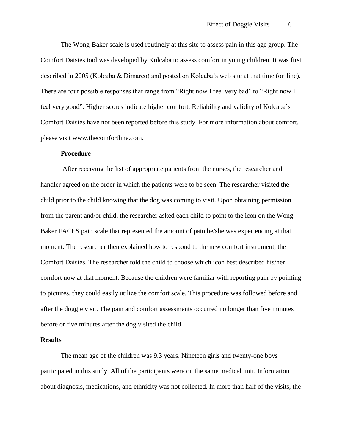The Wong-Baker scale is used routinely at this site to assess pain in this age group. The Comfort Daisies tool was developed by Kolcaba to assess comfort in young children. It was first described in 2005 (Kolcaba & Dimarco) and posted on Kolcaba's web site at that time (on line). There are four possible responses that range from "Right now I feel very bad" to "Right now I feel very good". Higher scores indicate higher comfort. Reliability and validity of Kolcaba's Comfort Daisies have not been reported before this study. For more information about comfort, please visit [www.thecomfortline.com.](http://www.thecomfortline.com/)

#### **Procedure**

After receiving the list of appropriate patients from the nurses, the researcher and handler agreed on the order in which the patients were to be seen. The researcher visited the child prior to the child knowing that the dog was coming to visit. Upon obtaining permission from the parent and/or child, the researcher asked each child to point to the icon on the Wong-Baker FACES pain scale that represented the amount of pain he/she was experiencing at that moment. The researcher then explained how to respond to the new comfort instrument, the Comfort Daisies. The researcher told the child to choose which icon best described his/her comfort now at that moment. Because the children were familiar with reporting pain by pointing to pictures, they could easily utilize the comfort scale. This procedure was followed before and after the doggie visit. The pain and comfort assessments occurred no longer than five minutes before or five minutes after the dog visited the child.

#### **Results**

The mean age of the children was 9.3 years. Nineteen girls and twenty-one boys participated in this study. All of the participants were on the same medical unit. Information about diagnosis, medications, and ethnicity was not collected. In more than half of the visits, the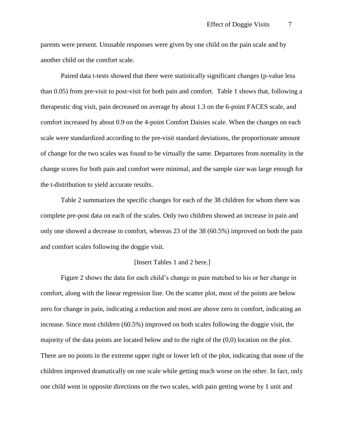parents were present. Unusable responses were given by one child on the pain scale and by another child on the comfort scale.

Paired data t-tests showed that there were statistically significant changes (p-value less than 0.05) from pre-visit to post-visit for both pain and comfort. Table 1 shows that, following a therapeutic dog visit, pain decreased on average by about 1.3 on the 6-point FACES scale, and comfort increased by about 0.9 on the 4-point Comfort Daisies scale. When the changes on each scale were standardized according to the pre-visit standard deviations, the proportionate amount of change for the two scales was found to be virtually the same. Departures from normality in the change scores for both pain and comfort were minimal, and the sample size was large enough for the t-distribution to yield accurate results.

Table 2 summarizes the specific changes for each of the 38 children for whom there was complete pre-post data on each of the scales. Only two children showed an increase in pain and only one showed a decrease in comfort, whereas 23 of the 38 (60.5%) improved on both the pain and comfort scales following the doggie visit.

#### [Insert Tables 1 and 2 here.]

Figure 2 shows the data for each child's change in pain matched to his or her change in comfort, along with the linear regression line. On the scatter plot, most of the points are below zero for change in pain, indicating a reduction and most are above zero in comfort, indicating an increase. Since most children (60.5%) improved on both scales following the doggie visit, the majority of the data points are located below and to the right of the (0,0) location on the plot. There are no points in the extreme upper right or lower left of the plot, indicating that none of the children improved dramatically on one scale while getting much worse on the other. In fact, only one child went in opposite directions on the two scales, with pain getting worse by 1 unit and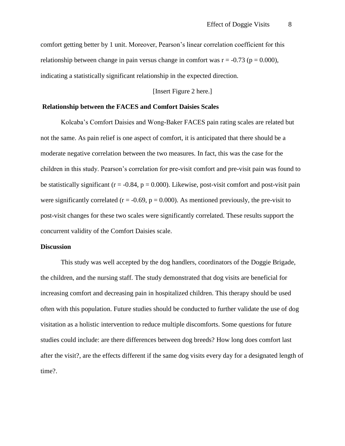comfort getting better by 1 unit. Moreover, Pearson's linear correlation coefficient for this relationship between change in pain versus change in comfort was  $r = -0.73$  ( $p = 0.000$ ), indicating a statistically significant relationship in the expected direction.

# [Insert Figure 2 here.]

## **Relationship between the FACES and Comfort Daisies Scales**

Kolcaba's Comfort Daisies and Wong-Baker FACES pain rating scales are related but not the same. As pain relief is one aspect of comfort, it is anticipated that there should be a moderate negative correlation between the two measures. In fact, this was the case for the children in this study. Pearson's correlation for pre-visit comfort and pre-visit pain was found to be statistically significant ( $r = -0.84$ ,  $p = 0.000$ ). Likewise, post-visit comfort and post-visit pain were significantly correlated ( $r = -0.69$ ,  $p = 0.000$ ). As mentioned previously, the pre-visit to post-visit changes for these two scales were significantly correlated. These results support the concurrent validity of the Comfort Daisies scale.

## **Discussion**

This study was well accepted by the dog handlers, coordinators of the Doggie Brigade, the children, and the nursing staff. The study demonstrated that dog visits are beneficial for increasing comfort and decreasing pain in hospitalized children. This therapy should be used often with this population. Future studies should be conducted to further validate the use of dog visitation as a holistic intervention to reduce multiple discomforts. Some questions for future studies could include: are there differences between dog breeds? How long does comfort last after the visit?, are the effects different if the same dog visits every day for a designated length of time?.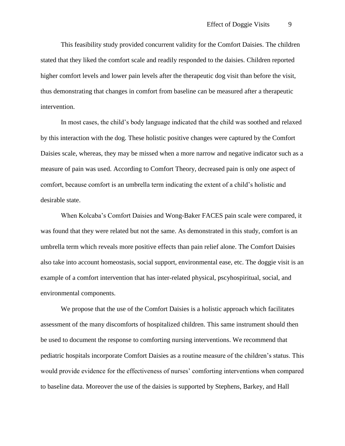This feasibility study provided concurrent validity for the Comfort Daisies. The children stated that they liked the comfort scale and readily responded to the daisies. Children reported higher comfort levels and lower pain levels after the therapeutic dog visit than before the visit, thus demonstrating that changes in comfort from baseline can be measured after a therapeutic intervention.

In most cases, the child's body language indicated that the child was soothed and relaxed by this interaction with the dog. These holistic positive changes were captured by the Comfort Daisies scale, whereas, they may be missed when a more narrow and negative indicator such as a measure of pain was used. According to Comfort Theory, decreased pain is only one aspect of comfort, because comfort is an umbrella term indicating the extent of a child's holistic and desirable state.

When Kolcaba's Comfort Daisies and Wong-Baker FACES pain scale were compared, it was found that they were related but not the same. As demonstrated in this study, comfort is an umbrella term which reveals more positive effects than pain relief alone. The Comfort Daisies also take into account homeostasis, social support, environmental ease, etc. The doggie visit is an example of a comfort intervention that has inter-related physical, pscyhospiritual, social, and environmental components.

We propose that the use of the Comfort Daisies is a holistic approach which facilitates assessment of the many discomforts of hospitalized children. This same instrument should then be used to document the response to comforting nursing interventions. We recommend that pediatric hospitals incorporate Comfort Daisies as a routine measure of the children's status. This would provide evidence for the effectiveness of nurses' comforting interventions when compared to baseline data. Moreover the use of the daisies is supported by Stephens, Barkey, and Hall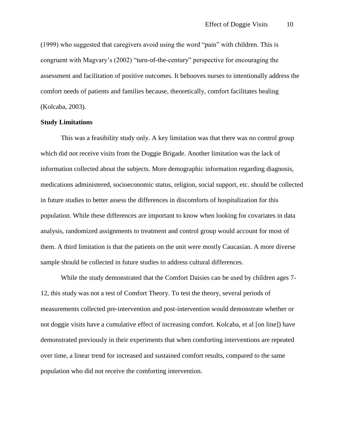(1999) who suggested that caregivers avoid using the word "pain" with children. This is congruent with Magvary's (2002) "turn-of-the-century" perspective for encouraging the assessment and facilitation of positive outcomes. It behooves nurses to intentionally address the comfort needs of patients and families because, theoretically, comfort facilitates healing (Kolcaba, 2003).

# **Study Limitations**

This was a feasibility study only. A key limitation was that there was no control group which did not receive visits from the Doggie Brigade. Another limitation was the lack of information collected about the subjects. More demographic information regarding diagnosis, medications administered, socioeconomic status, religion, social support, etc. should be collected in future studies to better assess the differences in discomforts of hospitalization for this population. While these differences are important to know when looking for covariates in data analysis, randomized assignments to treatment and control group would account for most of them. A third limitation is that the patients on the unit were mostly Caucasian. A more diverse sample should be collected in future studies to address cultural differences.

While the study demonstrated that the Comfort Daisies can be used by children ages 7- 12, this study was not a test of Comfort Theory. To test the theory, several periods of measurements collected pre-intervention and post-intervention would demonstrate whether or not doggie visits have a cumulative effect of increasing comfort. Kolcaba, et al [on line]) have demonstrated previously in their experiments that when comforting interventions are repeated over time, a linear trend for increased and sustained comfort results, compared to the same population who did not receive the comforting intervention.